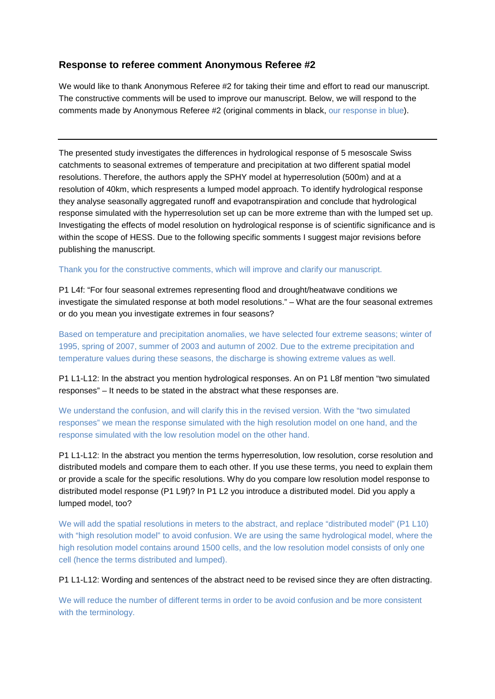# **Response to referee comment Anonymous Referee #2**

We would like to thank Anonymous Referee #2 for taking their time and effort to read our manuscript. The constructive comments will be used to improve our manuscript. Below, we will respond to the comments made by Anonymous Referee #2 (original comments in black, our response in blue).

The presented study investigates the differences in hydrological response of 5 mesoscale Swiss catchments to seasonal extremes of temperature and precipitation at two different spatial model resolutions. Therefore, the authors apply the SPHY model at hyperresolution (500m) and at a resolution of 40km, which respresents a lumped model approach. To identify hydrological response they analyse seasonally aggregated runoff and evapotranspiration and conclude that hydrological response simulated with the hyperresolution set up can be more extreme than with the lumped set up. Investigating the effects of model resolution on hydrological response is of scientific significance and is within the scope of HESS. Due to the following specific somments I suggest major revisions before publishing the manuscript.

## Thank you for the constructive comments, which will improve and clarify our manuscript.

P1 L4f: "For four seasonal extremes representing flood and drought/heatwave conditions we investigate the simulated response at both model resolutions." – What are the four seasonal extremes or do you mean you investigate extremes in four seasons?

Based on temperature and precipitation anomalies, we have selected four extreme seasons; winter of 1995, spring of 2007, summer of 2003 and autumn of 2002. Due to the extreme precipitation and temperature values during these seasons, the discharge is showing extreme values as well.

P1 L1-L12: In the abstract you mention hydrological responses. An on P1 L8f mention "two simulated responses" – It needs to be stated in the abstract what these responses are.

We understand the confusion, and will clarify this in the revised version. With the "two simulated responses" we mean the response simulated with the high resolution model on one hand, and the response simulated with the low resolution model on the other hand.

P1 L1-L12: In the abstract you mention the terms hyperresolution, low resolution, corse resolution and distributed models and compare them to each other. If you use these terms, you need to explain them or provide a scale for the specific resolutions. Why do you compare low resolution model response to distributed model response (P1 L9f)? In P1 L2 you introduce a distributed model. Did you apply a lumped model, too?

We will add the spatial resolutions in meters to the abstract, and replace "distributed model" (P1 L10) with "high resolution model" to avoid confusion. We are using the same hydrological model, where the high resolution model contains around 1500 cells, and the low resolution model consists of only one cell (hence the terms distributed and lumped).

P1 L1-L12: Wording and sentences of the abstract need to be revised since they are often distracting.

We will reduce the number of different terms in order to be avoid confusion and be more consistent with the terminology.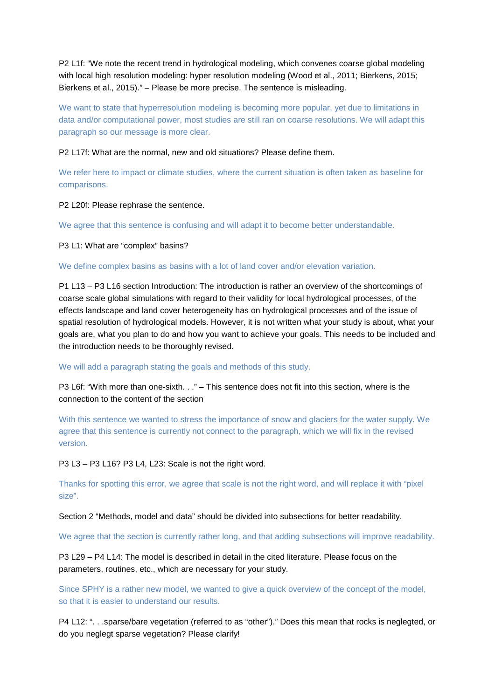P2 L1f: "We note the recent trend in hydrological modeling, which convenes coarse global modeling with local high resolution modeling: hyper resolution modeling (Wood et al., 2011; Bierkens, 2015; Bierkens et al., 2015)." – Please be more precise. The sentence is misleading.

We want to state that hyperresolution modeling is becoming more popular, yet due to limitations in data and/or computational power, most studies are still ran on coarse resolutions. We will adapt this paragraph so our message is more clear.

## P2 L17f: What are the normal, new and old situations? Please define them.

We refer here to impact or climate studies, where the current situation is often taken as baseline for comparisons.

P2 L20f: Please rephrase the sentence.

We agree that this sentence is confusing and will adapt it to become better understandable.

P3 L1: What are "complex" basins?

## We define complex basins as basins with a lot of land cover and/or elevation variation.

P1 L13 – P3 L16 section Introduction: The introduction is rather an overview of the shortcomings of coarse scale global simulations with regard to their validity for local hydrological processes, of the effects landscape and land cover heterogeneity has on hydrological processes and of the issue of spatial resolution of hydrological models. However, it is not written what your study is about, what your goals are, what you plan to do and how you want to achieve your goals. This needs to be included and the introduction needs to be thoroughly revised.

We will add a paragraph stating the goals and methods of this study.

P3 L6f: "With more than one-sixth. . ." – This sentence does not fit into this section, where is the connection to the content of the section

With this sentence we wanted to stress the importance of snow and glaciers for the water supply. We agree that this sentence is currently not connect to the paragraph, which we will fix in the revised version.

P3 L3 – P3 L16? P3 L4, L23: Scale is not the right word.

Thanks for spotting this error, we agree that scale is not the right word, and will replace it with "pixel size".

Section 2 "Methods, model and data" should be divided into subsections for better readability.

We agree that the section is currently rather long, and that adding subsections will improve readability.

P3 L29 – P4 L14: The model is described in detail in the cited literature. Please focus on the parameters, routines, etc., which are necessary for your study.

Since SPHY is a rather new model, we wanted to give a quick overview of the concept of the model, so that it is easier to understand our results.

P4 L12: ". . .sparse/bare vegetation (referred to as "other")." Does this mean that rocks is neglegted, or do you neglegt sparse vegetation? Please clarify!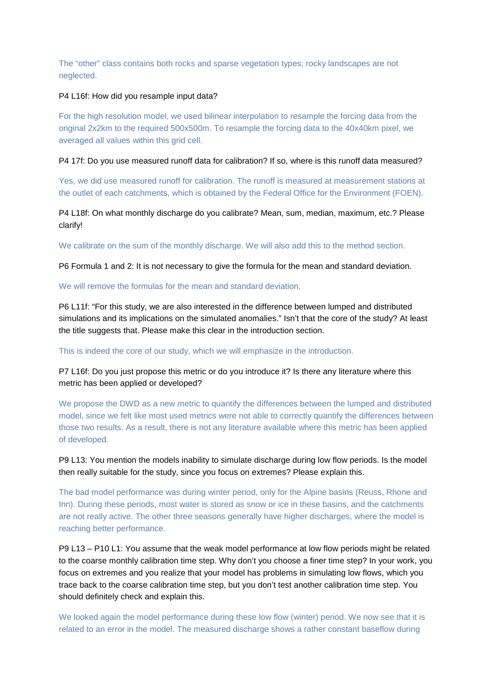The "other" class contains both rocks and sparse vegetation types; rocky landscapes are not neglected.

## P4 L16f: How did you resample input data?

For the high resolution model, we used bilinear interpolation to resample the forcing data from the original 2x2km to the required 500x500m. To resample the forcing data to the 40x40km pixel, we averaged all values within this grid cell.

### P4 17f: Do you use measured runoff data for calibration? If so, where is this runoff data measured?

Yes, we did use measured runoff for calibration. The runoff is measured at measurement stations at the outlet of each catchments, which is obtained by the Federal Office for the Environment (FOEN).

## P4 L18f: On what monthly discharge do you calibrate? Mean, sum, median, maximum, etc.? Please clarify!

We calibrate on the sum of the monthly discharge. We will also add this to the method section.

P6 Formula 1 and 2: It is not necessary to give the formula for the mean and standard deviation.

## We will remove the formulas for the mean and standard deviation.

P6 L11f: "For this study, we are also interested in the difference between lumped and distributed simulations and its implications on the simulated anomalies." Isn't that the core of the study? At least the title suggests that. Please make this clear in the introduction section.

This is indeed the core of our study, which we will emphasize in the introduction.

P7 L16f: Do you just propose this metric or do you introduce it? Is there any literature where this metric has been applied or developed?

We propose the DWD as a new metric to quantify the differences between the lumped and distributed model, since we felt like most used metrics were not able to correctly quantify the differences between those two results. As a result, there is not any literature available where this metric has been applied of developed.

P9 L13: You mention the models inability to simulate discharge during low flow periods. Is the model then really suitable for the study, since you focus on extremes? Please explain this.

The bad model performance was during winter period, only for the Alpine basins (Reuss, Rhone and Inn). During these periods, most water is stored as snow or ice in these basins, and the catchments are not really active. The other three seasons generally have higher discharges, where the model is reaching better performance.

P9 L13 – P10 L1: You assume that the weak model performance at low flow periods might be related to the coarse monthly calibration time step. Why don't you choose a finer time step? In your work, you focus on extremes and you realize that your model has problems in simulating low flows, which you trace back to the coarse calibration time step, but you don't test another calibration time step. You should definitely check and explain this.

We looked again the model performance during these low flow (winter) period. We now see that it is related to an error in the model. The measured discharge shows a rather constant baseflow during